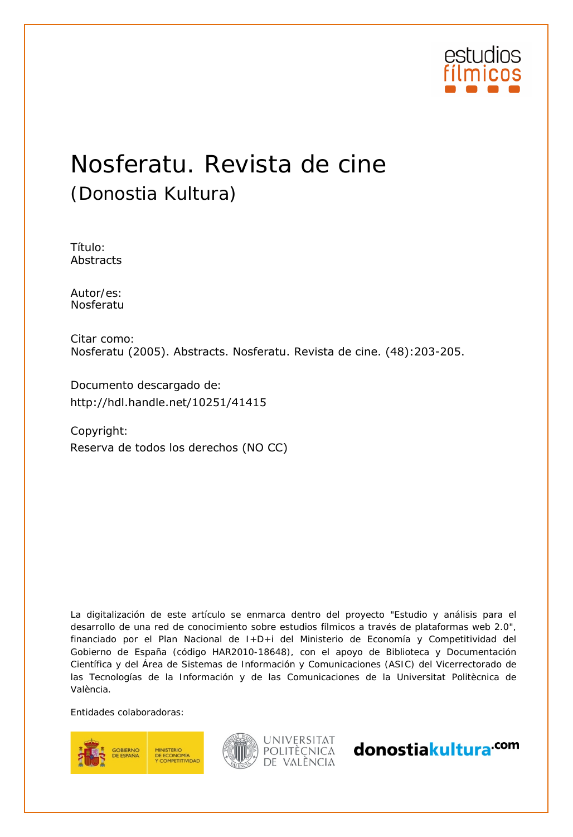

# Nosferatu. Revista de cine (Donostia Kultura)

Título: Abstracts

Autor/es:<br>Nosferatu

Citar como: Nosferatu (2005). Abstracts. Nosferatu. Revista de cine. (48):203-205.

Documento descargado de:

Copyright: http://hdl.handle.net/10251/41415<br>Copyright:<br>Reserva de todos los derechos (NO CC)

La digitalización de este artículo se enmarca dentro del proyecto "Estudio y análisis para el desarrollo de una red de conocimiento sobre estudios fílmicos a través de plataformas web 2.0", financiado por el Plan Nacional de I+D+i del Ministerio de Economía y Competitividad del Gobierno de España (código HAR2010-18648), con el apoyo de Biblioteca y Documentación Científica y del Área de Sistemas de Información y Comunicaciones (ASIC) del Vicerrectorado de las Tecnologías de la Información y de las Comunicaciones de la Universitat Politècnica de València.

Entidades colaboradoras:





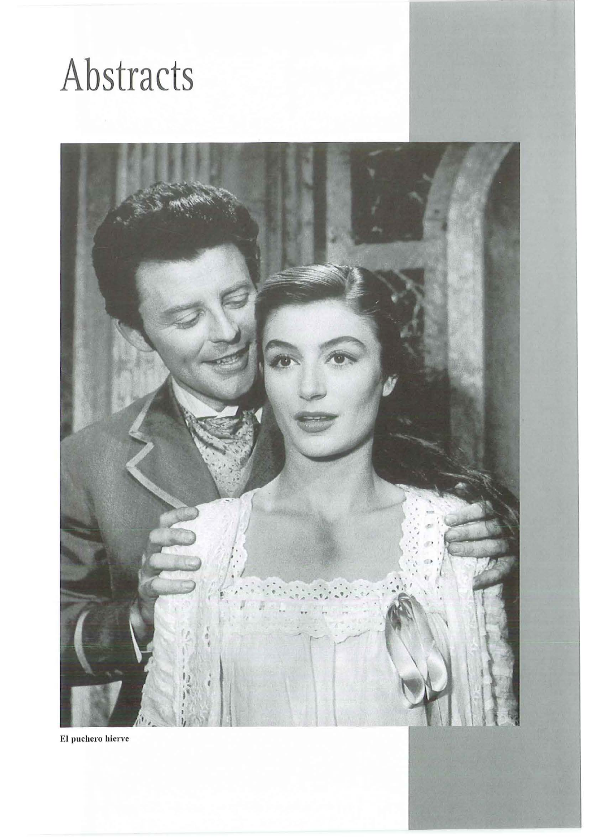# Abstracts



El puchero hierve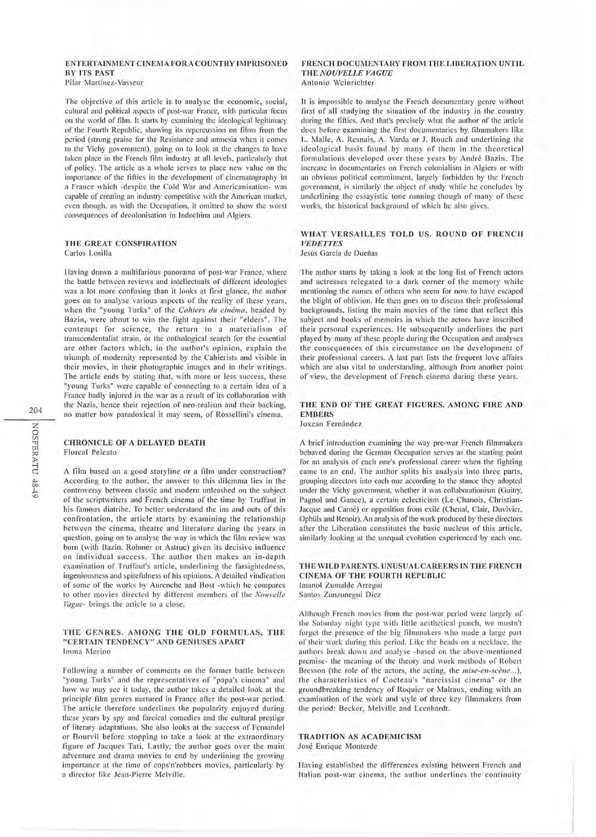# ENTERTAINMENT CINEMA FOR A COUNTRY IMPRISONED **BY ITS PAST**

Pilar Martínez-Vasseur

The objective of this article is to analyse the economic, social, cultural and political aspccts of post-war France, with particular focus on the world of film. 1t starts by cxarnining thc ideological legitimacy of thc Fourth Rcpublic, showing its rcpcrcussion on films from the pcriod (strong praise for the Resistance and amnesia when it comes to the Vichy government), going on to look at the changes to havc taken place in the French film industry at all levels, particularly that of policy. The articlc as a wholc serves to place new value on thc importance of the fifties in the development of cinematography in a France which -despitc the Cold \Var and Amcricanisation- was capablc of creating an industry competitive with the American markct, even though, as with the Occupation, it omitted to show the worst consequenccs of decolonisation in lndochina and Algiers.

#### THE GREAT CONSPIRATION Carlos Losilla

Having drawn a multifarious panorama of post-war France, where the battle between reviews and intellectuals of different ideologies was a lot more confusing than it looks at first glance, the author goes on to analyse various aspects of the reality of these years, when the "young Turks" of the *Cahiers du cinéma*, headed by Bazin, were about to win the fight against their "elders". The contempt for science, the return to a materialism of transcendentalist strain, or the onthological search for the essential are other factors which, in the author's opinion, explain the triumph of modernity represented by the Cahierists and visible in their movies, in their photographic images and in their writings. The article ends by stating that, with more or less success, these "young Turks" were capable of connecting to a certain idea of a France badly injured in the war as a result of its collaboration with thc Nazis, hcnce their rcjection of neo-realism and their backing, no matter how paradoxical it may seem, of Rossellini's cinema.

#### CHRONICLE OF A DELAYED DEATH Floreal Peleato

A film based on a good storyline or a film under construction? According to the author, the answer to this dilemma lies in the controversy between classic and modern unleashed on the subject of thc scriptwriters and French cinema of the time by Truftaut in his famous diatribe. To better understand the ins and outs of this confrontation, the article starts by examining the relationship between the cinema, theatre and literature during the years in question, going on to analyse the way in which the film review was born (with Bazin, Rohmer or Astruc) given its decisive influence on individual success. The author then makes an in-depth examination of Truffaut's article, underlining the farsightedness, ingeniousness and spitcfulness of his opinions. A detailed vindication of some of the works by Aurenche and Bost -which he compares to other movies directed by different members of the Nouvelle Vague- brings the article to a close.

#### THE GENRES. AMONG THE OLD FORMULAS, THE "CERTAIN TENDENCY" AND GENIUSES APART Imma Merino

Following a number of comments on the former battle between "young Turks" and the representatives of "papa's cinema" and how we may see it today, the author takes a detailed look at the principle film genres nurtured in France after the post-war period. The article therefore underlines the popularity enjoyed during these years by spy and farcical comedies and the cultural prestige of literary adaptations. She also looks at the success of Fcrnandel or Bourvil before stopping to take a look at the extraordinary figure of Jacques Tati. Lastly, the author goes over the main adventurc and drama movies to end by underlining thc growing importance at the time of cops'n'robbers movies, particularly by a director like Jean-Pierre Melville.

#### FRENCH DOCUMENTARY FROM THE LIBERATION UNTIL THE NOUVELLE VAGUE Antonio Weinrichter

lt is impossible to analyse the Frcneh documentary genre without first of all studying the situation of the industry in the country during the fifties. And that's precisely what the author of the article docs before cxamining the first documentarics by filmmakers likc L. Malle, A. Resnais, A. Varda or J. Rouch and underlining the ideological basis found by many of them in the theoretical formulations developed over these years by André Bazin. The increasc in documcntaries on French colonialism in Algiers or with an obvious political commitment, largely forbidden by thc French governmcnt, is similarly the objcct of study while he concludcs by underlining the essayistic tone running though of many of these works, the historical background of which he nlso gives.

# WHAT VERSAILLES TOLD US. ROUND OF FRENCH **VEDETTES**

Jesús García de Dueñas

The author starts by taking a look at the long list of French actors and actresses relegated to a dark corner of the memory whilc mentioning the names of others who seem for now to have escaped the blight of oblivion. He then goes on to discuss their professional backgrounds, listing the main movies of the time that reflect this subject and books of memoirs in which the actors have inscribed their personal experiences. He subsequently underlines the part played by many of these people during the Occupation and analyses the conscquences of this circumstancc on the dcvclopment of their professional careers. A last part lists the frequent love affairs which are also vital to understanding, although from another point of view, the development of Frcnch cinema during these years.

## THE END OF THE GREAT FIGURES. AMONG FIRE AND **EMBERS**

Joxean Fernández

A bricf introduction examining the way pre-war french lilmmakers behaved during the German Occupation serves as the starting point for an analysis of each one's professional career when the fighting came to an end. The author splits his analysis into three parts, grouping directors into each one according to the stance they adopted under the Vichy govcrnment, whcther it was collaborationism (Guitry, Pagnol and Gancc), a certain eclecticism (Le Chanois, Christian-Jacque and Carné) or opposition from exile (Chenal, Clair, Duvivier, Ophüls and Renoir). An analysis of the work produced by these directors after the Liberation constitutes the basic nucleus of this article, similarly looking at the unequal evolution experienced by each one.

#### THE WILD PARENTS. UNUSUAL CAREERS IN THE FRENCH CINEMA OF THE FOURTH REPUBLIC Imanol Zumalde Arregui Santos Zunzunegui Díez

Although French movies from the post-war period were largely of the Saturday night type with little aesthetical punch, we mustn't forget the presence of the big filmmakers who made a large part of their work during this period. Like the beads on a necklace, the authors break down and analysc -hased on the above-mentioned premisc- the mcaning of thc theory and work mcthods of Robert Bresson (the role of the actors, the acting, the *mise-en-scène...*), the characteristics of Cocteau's "narcissist cinema" or the groundbreaking tendency of Roquier or Malraux, ending with an cxamination of the work and style of thrcc key tilmmakers from the period: Becker, Melville and Leenhardt.

#### TRADITION AS ACADEMICISM José Enrique Montcrde

Having established the differences existing between French and Italian post-war cinema, the author underlines the continuity